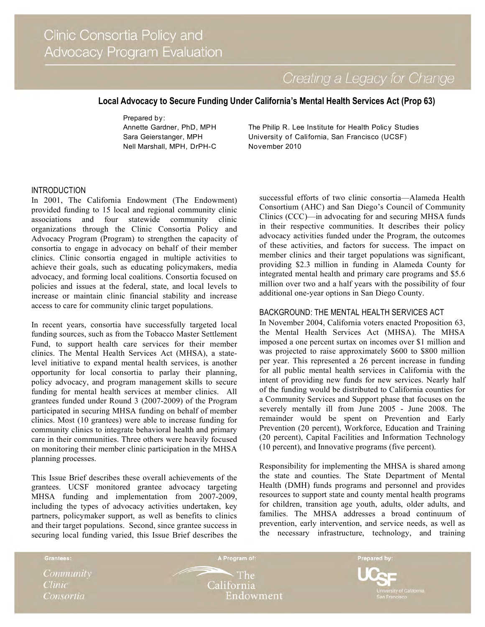Creating a Legacy for Change

# **Local Advocacy to Secure Funding Under California's Mental Health Services Act (Prop 63)**

Prepared by: Annette Gardner, PhD, MPH Sara Geierstanger, MPH Nell Marshall, MPH, DrPH-C

The Philip R. Lee Institute for Health Policy Studies University of California, San Francisco (UCSF) November 2010

### INTRODUCTION

In 2001, The California Endowment (The Endowment) provided funding to 15 local and regional community clinic associations and four statewide community clinic organizations through the Clinic Consortia Policy and Advocacy Program (Program) to strengthen the capacity of consortia to engage in advocacy on behalf of their member clinics. Clinic consortia engaged in multiple activities to achieve their goals, such as educating policymakers, media advocacy, and forming local coalitions. Consortia focused on policies and issues at the federal, state, and local levels to increase or maintain clinic financial stability and increase access to care for community clinic target populations.

In recent years, consortia have successfully targeted local funding sources, such as from the Tobacco Master Settlement Fund, to support health care services for their member clinics. The Mental Health Services Act (MHSA), a statelevel initiative to expand mental health services, is another opportunity for local consortia to parlay their planning, policy advocacy, and program management skills to secure funding for mental health services at member clinics. All grantees funded under Round 3 (2007-2009) of the Program participated in securing MHSA funding on behalf of member clinics. Most (10 grantees) were able to increase funding for community clinics to integrate behavioral health and primary care in their communities. Three others were heavily focused on monitoring their member clinic participation in the MHSA planning processes.

This Issue Brief describes these overall achievements of the grantees. UCSF monitored grantee advocacy targeting MHSA funding and implementation from 2007-2009, including the types of advocacy activities undertaken, key partners, policymaker support, as well as benefits to clinics and their target populations. Second, since grantee success in securing local funding varied, this Issue Brief describes the

successful efforts of two clinic consortia—Alameda Health Consortium (AHC) and San Diego's Council of Community Clinics (CCC)—in advocating for and securing MHSA funds in their respective communities. It describes their policy advocacy activities funded under the Program, the outcomes of these activities, and factors for success. The impact on member clinics and their target populations was significant, providing \$2.3 million in funding in Alameda County for integrated mental health and primary care programs and \$5.6 million over two and a half years with the possibility of four additional one-year options in San Diego County.

### BACKGROUND: THE MENTAL HEALTH SERVICES ACT

In November 2004, California voters enacted Proposition 63, the Mental Health Services Act (MHSA). The MHSA imposed a one percent surtax on incomes over \$1 million and was projected to raise approximately \$600 to \$800 million per year. This represented a 26 percent increase in funding for all public mental health services in California with the intent of providing new funds for new services. Nearly half of the funding would be distributed to California counties for a Community Services and Support phase that focuses on the severely mentally ill from June 2005 - June 2008. The remainder would be spent on Prevention and Early Prevention (20 percent), Workforce, Education and Training (20 percent), Capital Facilities and Information Technology (10 percent), and Innovative programs (five percent).

Responsibility for implementing the MHSA is shared among the state and counties. The State Department of Mental Health (DMH) funds programs and personnel and provides resources to support state and county mental health programs for children, transition age youth, adults, older adults, and families. The MHSA addresses a broad continuum of prevention, early intervention, and service needs, as well as the necessary infrastructure, technology, and training

Community **Clinic** Consortia

Grantees:

 $\cdot$  The California Endowment

A Program of:

Prepared by: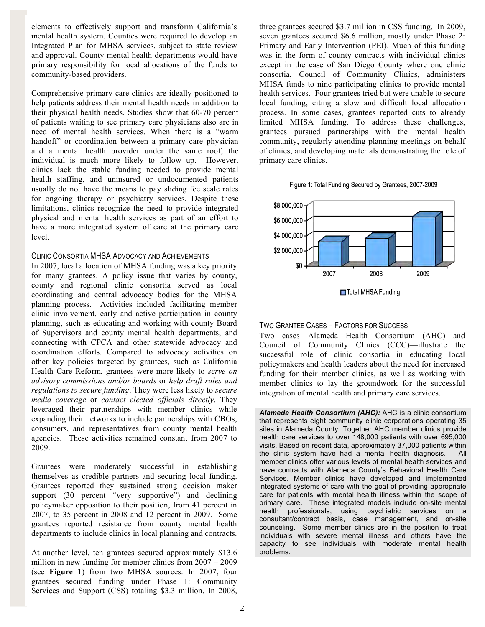elements to effectively support and transform California's mental health system. Counties were required to develop an Integrated Plan for MHSA services, subject to state review and approval. County mental health departments would have primary responsibility for local allocations of the funds to community-based providers.

Comprehensive primary care clinics are ideally positioned to help patients address their mental health needs in addition to their physical health needs. Studies show that 60-70 percent of patients waiting to see primary care physicians also are in need of mental health services. When there is a "warm handoff" or coordination between a primary care physician and a mental health provider under the same roof, the individual is much more likely to follow up. However, clinics lack the stable funding needed to provide mental health staffing, and uninsured or undocumented patients usually do not have the means to pay sliding fee scale rates for ongoing therapy or psychiatry services. Despite these limitations, clinics recognize the need to provide integrated physical and mental health services as part of an effort to have a more integrated system of care at the primary care level.

### CLINIC CONSORTIA MHSA ADVOCACY AND ACHIEVEMENTS

In 2007, local allocation of MHSA funding was a key priority for many grantees. A policy issue that varies by county, county and regional clinic consortia served as local coordinating and central advocacy bodies for the MHSA planning process. Activities included facilitating member clinic involvement, early and active participation in county planning, such as educating and working with county Board of Supervisors and county mental health departments, and connecting with CPCA and other statewide advocacy and coordination efforts. Compared to advocacy activities on other key policies targeted by grantees, such as California Health Care Reform, grantees were more likely to *serve on advisory commissions and/or boards* or *help draft rules and regulations to secure funding*. They were less likely to *secure media coverage* or *contact elected officials directly*. They leveraged their partnerships with member clinics while expanding their networks to include partnerships with CBOs, consumers, and representatives from county mental health agencies. These activities remained constant from 2007 to 2009.

Grantees were moderately successful in establishing themselves as credible partners and securing local funding. Grantees reported they sustained strong decision maker support (30 percent "very supportive") and declining policymaker opposition to their position, from 41 percent in 2007, to 35 percent in 2008 and 12 percent in 2009. Some grantees reported resistance from county mental health departments to include clinics in local planning and contracts.

At another level, ten grantees secured approximately \$13.6 million in new funding for member clinics from 2007 – 2009 (see **Figure 1**) from two MHSA sources. In 2007, four grantees secured funding under Phase 1: Community Services and Support (CSS) totaling \$3.3 million. In 2008,

three grantees secured \$3.7 million in CSS funding. In 2009, seven grantees secured \$6.6 million, mostly under Phase 2: Primary and Early Intervention (PEI). Much of this funding was in the form of county contracts with individual clinics except in the case of San Diego County where one clinic consortia, Council of Community Clinics, administers MHSA funds to nine participating clinics to provide mental health services. Four grantees tried but were unable to secure local funding, citing a slow and difficult local allocation process. In some cases, grantees reported cuts to already limited MHSA funding. To address these challenges, grantees pursued partnerships with the mental health community, regularly attending planning meetings on behalf of clinics, and developing materials demonstrating the role of primary care clinics.





## TWO GRANTEE CASES – FACTORS FOR SUCCESS

Two cases—Alameda Health Consortium (AHC) and Council of Community Clinics (CCC)—illustrate the successful role of clinic consortia in educating local policymakers and health leaders about the need for increased funding for their member clinics, as well as working with member clinics to lay the groundwork for the successful integration of mental health and primary care services.

*Alameda Health Consortium (AHC):* AHC is a clinic consortium that represents eight community clinic corporations operating 35 sites in Alameda County. Together AHC member clinics provide health care services to over 148,000 patients with over 695,000 visits. Based on recent data, approximately 37,000 patients within the clinic system have had a mental health diagnosis. All member clinics offer various levels of mental health services and have contracts with Alameda County's Behavioral Health Care Services. Member clinics have developed and implemented integrated systems of care with the goal of providing appropriate care for patients with mental health illness within the scope of primary care. These integrated models include on-site mental health professionals, using psychiatric services on a consultant/contract basis, case management, and on-site counseling. Some member clinics are in the position to treat individuals with severe mental illness and others have the capacity to see individuals with moderate mental health problems.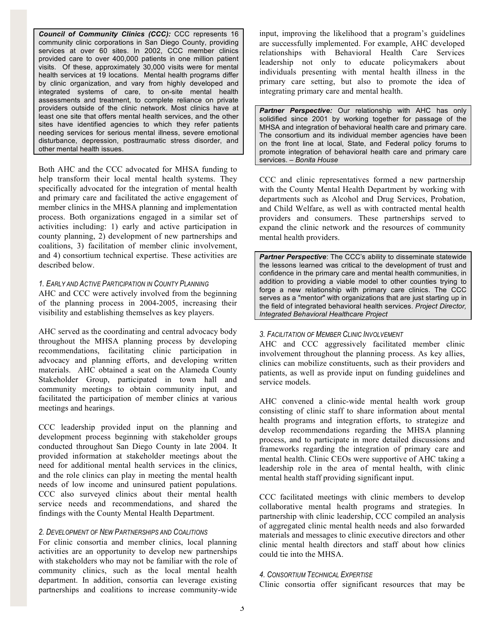*Council of Community Clinics (CCC):* CCC represents 16 community clinic corporations in San Diego County, providing services at over 60 sites. In 2002, CCC member clinics provided care to over 400,000 patients in one million patient visits. Of these, approximately 30,000 visits were for mental health services at 19 locations. Mental health programs differ by clinic organization, and vary from highly developed and integrated systems of care, to on-site mental health assessments and treatment, to complete reliance on private providers outside of the clinic network. Most clinics have at least one site that offers mental health services, and the other sites have identified agencies to which they refer patients needing services for serious mental illness, severe emotional disturbance, depression, posttraumatic stress disorder, and other mental health issues.

Both AHC and the CCC advocated for MHSA funding to help transform their local mental health systems. They specifically advocated for the integration of mental health and primary care and facilitated the active engagement of member clinics in the MHSA planning and implementation process. Both organizations engaged in a similar set of activities including: 1) early and active participation in county planning, 2) development of new partnerships and coalitions, 3) facilitation of member clinic involvement, and 4) consortium technical expertise. These activities are described below.

#### *1. EARLY AND ACTIVE PARTICIPATION IN COUNTY PLANNING*

AHC and CCC were actively involved from the beginning of the planning process in 2004-2005, increasing their visibility and establishing themselves as key players.

AHC served as the coordinating and central advocacy body throughout the MHSA planning process by developing recommendations, facilitating clinic participation in advocacy and planning efforts, and developing written materials. AHC obtained a seat on the Alameda County Stakeholder Group, participated in town hall and community meetings to obtain community input, and facilitated the participation of member clinics at various meetings and hearings.

CCC leadership provided input on the planning and development process beginning with stakeholder groups conducted throughout San Diego County in late 2004. It provided information at stakeholder meetings about the need for additional mental health services in the clinics, and the role clinics can play in meeting the mental health needs of low income and uninsured patient populations. CCC also surveyed clinics about their mental health service needs and recommendations, and shared the findings with the County Mental Health Department.

# *2. DEVELOPMENT OF NEW PARTNERSHIPS AND COALITIONS*

For clinic consortia and member clinics, local planning activities are an opportunity to develop new partnerships with stakeholders who may not be familiar with the role of community clinics, such as the local mental health department. In addition, consortia can leverage existing partnerships and coalitions to increase community-wide input, improving the likelihood that a program's guidelines are successfully implemented. For example, AHC developed relationships with Behavioral Health Care Services leadership not only to educate policymakers about individuals presenting with mental health illness in the primary care setting, but also to promote the idea of integrating primary care and mental health.

*Partner Perspective:* Our relationship with AHC has only solidified since 2001 by working together for passage of the MHSA and integration of behavioral health care and primary care. The consortium and its individual member agencies have been on the front line at local, State, and Federal policy forums to promote integration of behavioral health care and primary care services. – *Bonita House*

CCC and clinic representatives formed a new partnership with the County Mental Health Department by working with departments such as Alcohol and Drug Services, Probation, and Child Welfare, as well as with contracted mental health providers and consumers. These partnerships served to expand the clinic network and the resources of community mental health providers.

*Partner Perspective*: The CCC's ability to disseminate statewide the lessons learned was critical to the development of trust and confidence in the primary care and mental health communities, in addition to providing a viable model to other counties trying to forge a new relationship with primary care clinics. The CCC serves as a "mentor" with organizations that are just starting up in the field of integrated behavioral health services. *Project Director, Integrated Behavioral Healthcare Project* 

#### *3. FACILITATION OF MEMBER CLINIC INVOLVEMENT*

AHC and CCC aggressively facilitated member clinic involvement throughout the planning process. As key allies, clinics can mobilize constituents, such as their providers and patients, as well as provide input on funding guidelines and service models.

AHC convened a clinic-wide mental health work group consisting of clinic staff to share information about mental health programs and integration efforts, to strategize and develop recommendations regarding the MHSA planning process, and to participate in more detailed discussions and frameworks regarding the integration of primary care and mental health. Clinic CEOs were supportive of AHC taking a leadership role in the area of mental health, with clinic mental health staff providing significant input.

CCC facilitated meetings with clinic members to develop collaborative mental health programs and strategies. In partnership with clinic leadership, CCC compiled an analysis of aggregated clinic mental health needs and also forwarded materials and messages to clinic executive directors and other clinic mental health directors and staff about how clinics could tie into the MHSA.

## *4. CONSORTIUM TECHNICAL EXPERTISE*

Clinic consortia offer significant resources that may be